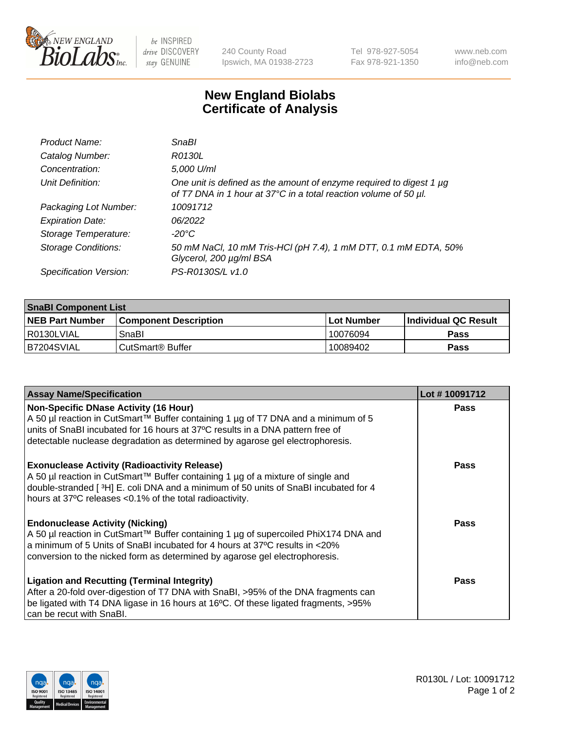

 $be$  INSPIRED drive DISCOVERY stay GENUINE

240 County Road Ipswich, MA 01938-2723 Tel 978-927-5054 Fax 978-921-1350 www.neb.com info@neb.com

## **New England Biolabs Certificate of Analysis**

| Product Name:              | SnaBl                                                                                                                                   |
|----------------------------|-----------------------------------------------------------------------------------------------------------------------------------------|
| Catalog Number:            | R0130L                                                                                                                                  |
| Concentration:             | 5,000 U/ml                                                                                                                              |
| Unit Definition:           | One unit is defined as the amount of enzyme required to digest 1 µg<br>of T7 DNA in 1 hour at 37°C in a total reaction volume of 50 µl. |
| Packaging Lot Number:      | 10091712                                                                                                                                |
| <b>Expiration Date:</b>    | 06/2022                                                                                                                                 |
| Storage Temperature:       | $-20^{\circ}$ C                                                                                                                         |
| <b>Storage Conditions:</b> | 50 mM NaCl, 10 mM Tris-HCl (pH 7.4), 1 mM DTT, 0.1 mM EDTA, 50%<br>Glycerol, 200 µg/ml BSA                                              |
| Specification Version:     | PS-R0130S/L v1.0                                                                                                                        |

| <b>SnaBI Component List</b> |                         |                   |                             |  |
|-----------------------------|-------------------------|-------------------|-----------------------------|--|
| <b>NEB Part Number</b>      | l Component Description | <b>Lot Number</b> | <b>Individual QC Result</b> |  |
| I R0130LVIAL                | SnaBl                   | 10076094          | <b>Pass</b>                 |  |
| IB7204SVIAL                 | ⊧CutSmart® Buffer       | 10089402          | <b>Pass</b>                 |  |

| <b>Assay Name/Specification</b>                                                                                                                                                                                                                                                                      | Lot #10091712 |
|------------------------------------------------------------------------------------------------------------------------------------------------------------------------------------------------------------------------------------------------------------------------------------------------------|---------------|
| <b>Non-Specific DNase Activity (16 Hour)</b><br>A 50 µl reaction in CutSmart™ Buffer containing 1 µg of T7 DNA and a minimum of 5<br>units of SnaBI incubated for 16 hours at 37°C results in a DNA pattern free of<br>detectable nuclease degradation as determined by agarose gel electrophoresis. | Pass          |
| <b>Exonuclease Activity (Radioactivity Release)</b><br>A 50 µl reaction in CutSmart™ Buffer containing 1 µg of a mixture of single and<br>double-stranded [3H] E. coli DNA and a minimum of 50 units of SnaBI incubated for 4<br>hours at 37°C releases <0.1% of the total radioactivity.            | <b>Pass</b>   |
| <b>Endonuclease Activity (Nicking)</b><br>A 50 µl reaction in CutSmart™ Buffer containing 1 µg of supercoiled PhiX174 DNA and<br>a minimum of 5 Units of SnaBI incubated for 4 hours at 37°C results in <20%<br>conversion to the nicked form as determined by agarose gel electrophoresis.          | Pass          |
| <b>Ligation and Recutting (Terminal Integrity)</b><br>After a 20-fold over-digestion of T7 DNA with SnaBI, >95% of the DNA fragments can<br>be ligated with T4 DNA ligase in 16 hours at 16°C. Of these ligated fragments, >95%<br>can be recut with SnaBI.                                          | Pass          |